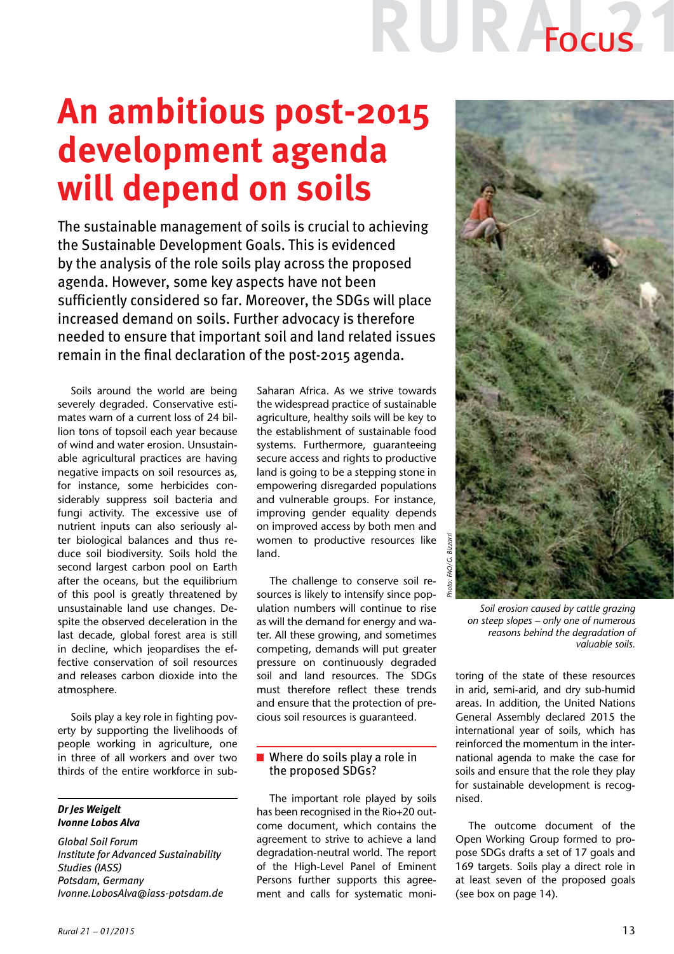# R Adeus

### **An ambitious post-2015 development agenda will depend on soils**

The sustainable management of soils is crucial to achieving the Sustainable Development Goals. This is evidenced by the analysis of the role soils play across the proposed agenda. However, some key aspects have not been sufficiently considered so far. Moreover, the SDGs will place increased demand on soils. Further advocacy is therefore needed to ensure that important soil and land related issues remain in the final declaration of the post-2015 agenda.

Soils around the world are being severely degraded. Conservative estimates warn of a current loss of 24 billion tons of topsoil each year because of wind and water erosion. Unsustainable agricultural practices are having negative impacts on soil resources as, for instance, some herbicides considerably suppress soil bacteria and fungi activity. The excessive use of nutrient inputs can also seriously alter biological balances and thus reduce soil biodiversity. Soils hold the second largest carbon pool on Earth after the oceans, but the equilibrium of this pool is greatly threatened by unsustainable land use changes. Despite the observed deceleration in the last decade, global forest area is still in decline, which jeopardises the effective conservation of soil resources and releases carbon dioxide into the atmosphere.

Soils play a key role in fighting poverty by supporting the livelihoods of people working in agriculture, one in three of all workers and over two thirds of the entire workforce in sub-

### *Dr Jes Weigelt Ivonne Lobos Alva*

*Global Soil Forum Institute for Advanced Sustainability Studies (IASS) Potsdam, Germany Ivonne.LobosAlva@iass-potsdam.de* Saharan Africa. As we strive towards the widespread practice of sustainable agriculture, healthy soils will be key to the establishment of sustainable food systems. Furthermore, guaranteeing secure access and rights to productive land is going to be a stepping stone in empowering disregarded populations and vulnerable groups. For instance, improving gender equality depends on improved access by both men and women to productive resources like land.

The challenge to conserve soil resources is likely to intensify since population numbers will continue to rise as will the demand for energy and water. All these growing, and sometimes competing, demands will put greater pressure on continuously degraded soil and land resources. The SDGs must therefore reflect these trends and ensure that the protection of precious soil resources is guaranteed.

### ■ Where do soils play a role in the proposed SDGs?

The important role played by soils has been recognised in the Rio+20 outcome document, which contains the agreement to strive to achieve a land degradation-neutral world. The report of the High-Level Panel of Eminent Persons further supports this agreement and calls for systematic moni-



*Soil erosion caused by cattle grazing on steep slopes – only one of numerous reasons behind the degradation of valuable soils.*

toring of the state of these resources in arid, semi-arid, and dry sub-humid areas. In addition, the United Nations General Assembly declared 2015 the international year of soils, which has reinforced the momentum in the international agenda to make the case for soils and ensure that the role they play for sustainable development is recognised.

The outcome document of the Open Working Group formed to propose SDGs drafts a set of 17 goals and 169 targets. Soils play a direct role in at least seven of the proposed goals (see box on page 14).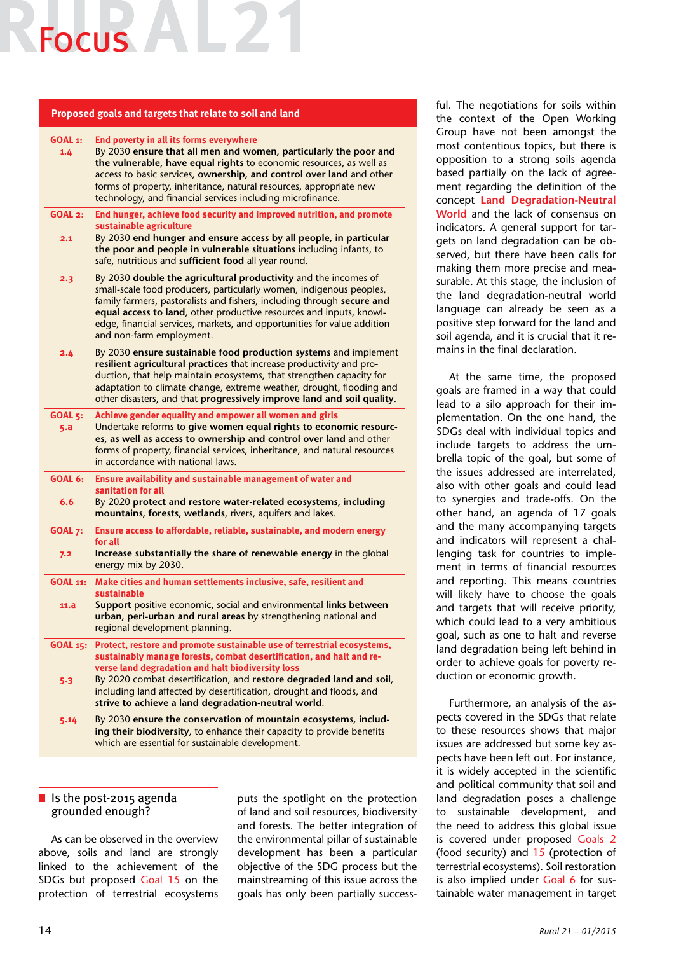## Focus

#### **Proposed goals and targets that relate to soil and land**

| GOAL 1:<br>1.4        | End poverty in all its forms everywhere<br>By 2030 ensure that all men and women, particularly the poor and<br>the vulnerable, have equal rights to economic resources, as well as<br>access to basic services, ownership, and control over land and other<br>forms of property, inheritance, natural resources, appropriate new<br>technology, and financial services including microfinance.                     |
|-----------------------|--------------------------------------------------------------------------------------------------------------------------------------------------------------------------------------------------------------------------------------------------------------------------------------------------------------------------------------------------------------------------------------------------------------------|
| <b>GOAL 2:</b><br>2.1 | End hunger, achieve food security and improved nutrition, and promote<br>sustainable agriculture<br>By 2030 end hunger and ensure access by all people, in particular<br>the poor and people in vulnerable situations including infants, to<br>safe, nutritious and sufficient food all year round.                                                                                                                |
| 2.3                   | By 2030 double the agricultural productivity and the incomes of<br>small-scale food producers, particularly women, indigenous peoples,<br>family farmers, pastoralists and fishers, including through secure and<br>equal access to land, other productive resources and inputs, knowl-<br>edge, financial services, markets, and opportunities for value addition<br>and non-farm employment.                     |
| 2.4                   | By 2030 ensure sustainable food production systems and implement<br>resilient agricultural practices that increase productivity and pro-<br>duction, that help maintain ecosystems, that strengthen capacity for<br>adaptation to climate change, extreme weather, drought, flooding and<br>other disasters, and that progressively improve land and soil quality.                                                 |
| <b>GOAL 5:</b><br>5.a | Achieve gender equality and empower all women and girls<br>Undertake reforms to give women equal rights to economic resourc-<br>es, as well as access to ownership and control over land and other<br>forms of property, financial services, inheritance, and natural resources<br>in accordance with national laws.                                                                                               |
| <b>GOAL 6:</b><br>6.6 | Ensure availability and sustainable management of water and<br>sanitation for all<br>By 2020 protect and restore water-related ecosystems, including<br>mountains, forests, wetlands, rivers, aquifers and lakes.                                                                                                                                                                                                  |
| <b>GOAL 7:</b><br>7.2 | Ensure access to affordable, reliable, sustainable, and modern energy<br>for all<br>Increase substantially the share of renewable energy in the global<br>energy mix by 2030.                                                                                                                                                                                                                                      |
| GOAL 11:<br>11.a      | Make cities and human settlements inclusive, safe, resilient and<br>sustainable<br>Support positive economic, social and environmental links between<br>urban, peri-urban and rural areas by strengthening national and<br>regional development planning.                                                                                                                                                          |
| 5.3                   | GOAL 15: Protect, restore and promote sustainable use of terrestrial ecosystems,<br>sustainably manage forests, combat desertification, and halt and re-<br>verse land degradation and halt biodiversity loss<br>By 2020 combat desertification, and restore degraded land and soil,<br>including land affected by desertification, drought and floods, and<br>strive to achieve a land degradation-neutral world. |
| 5.14                  | By 2030 ensure the conservation of mountain ecosystems, includ-<br>ing their biodiversity, to enhance their capacity to provide benefits<br>which are essential for sustainable development.                                                                                                                                                                                                                       |

### I Is the post-2015 agenda grounded enough?

As can be observed in the overview above, soils and land are strongly linked to the achievement of the SDGs but proposed Goal 15 on the protection of terrestrial ecosystems

puts the spotlight on the protection of land and soil resources, biodiversity and forests. The better integration of the environmental pillar of sustainable development has been a particular objective of the SDG process but the mainstreaming of this issue across the goals has only been partially successful. The negotiations for soils within the context of the Open Working Group have not been amongst the most contentious topics, but there is opposition to a strong soils agenda based partially on the lack of agreement regarding the definition of the concept **Land Degradation-Neutral World** and the lack of consensus on indicators. A general support for targets on land degradation can be observed, but there have been calls for making them more precise and measurable. At this stage, the inclusion of the land degradation-neutral world language can already be seen as a positive step forward for the land and soil agenda, and it is crucial that it remains in the final declaration.

At the same time, the proposed goals are framed in a way that could lead to a silo approach for their implementation. On the one hand, the SDGs deal with individual topics and include targets to address the umbrella topic of the goal, but some of the issues addressed are interrelated, also with other goals and could lead to synergies and trade-offs. On the other hand, an agenda of 17 goals and the many accompanying targets and indicators will represent a challenging task for countries to implement in terms of financial resources and reporting. This means countries will likely have to choose the goals and targets that will receive priority, which could lead to a very ambitious goal, such as one to halt and reverse land degradation being left behind in order to achieve goals for poverty reduction or economic growth.

Furthermore, an analysis of the aspects covered in the SDGs that relate to these resources shows that major issues are addressed but some key aspects have been left out. For instance, it is widely accepted in the scientific and political community that soil and land degradation poses a challenge to sustainable development, and the need to address this global issue is covered under proposed Goals 2 (food security) and 15 (protection of terrestrial ecosystems). Soil restoration is also implied under Goal 6 for sustainable water management in target